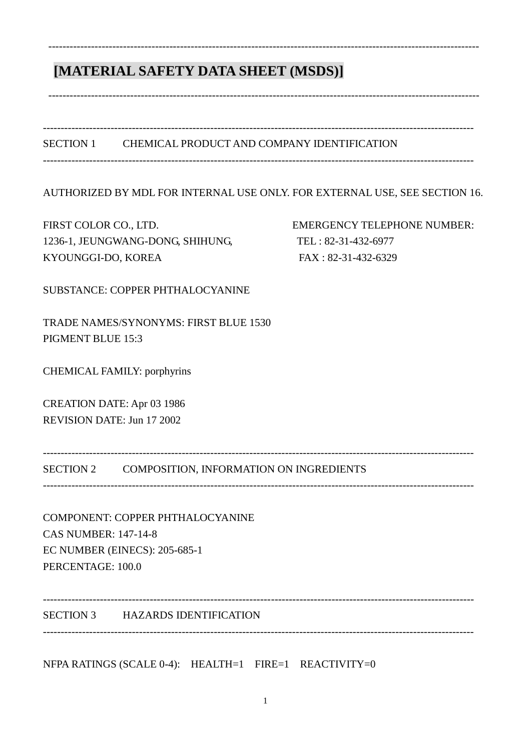# **[MATERIAL SAFETY DATA SHEET (MSDS)]**

SECTION 1 CHEMICAL PRODUCT AND COMPANY IDENTIFICATION

-------------------------------------------------------------------------------------------------------------------------

-------------------------------------------------------------------------------------------------------------------------

-------------------------------------------------------------------------------------------------------------------------

-------------------------------------------------------------------------------------------------------------------------

AUTHORIZED BY MDL FOR INTERNAL USE ONLY. FOR EXTERNAL USE, SEE SECTION 16.

FIRST COLOR CO., LTD. EMERGENCY TELEPHONE NUMBER: 1236-1, JEUNGWANG-DONG, SHIHUNG, TEL : 82-31-432-6977 KYOUNGGI-DO, KOREA FAX : 82-31-432-6329

SUBSTANCE: COPPER PHTHALOCYANINE

TRADE NAMES/SYNONYMS: FIRST BLUE 1530 PIGMENT BLUE 15:3

CHEMICAL FAMILY: porphyrins

CREATION DATE: Apr 03 1986 REVISION DATE: Jun 17 2002

------------------------------------------------------------------------------------------------------------------------- SECTION 2 COMPOSITION, INFORMATION ON INGREDIENTS

-------------------------------------------------------------------------------------------------------------------------

COMPONENT: COPPER PHTHALOCYANINE CAS NUMBER: 147-14-8 EC NUMBER (EINECS): 205-685-1 PERCENTAGE: 100.0

SECTION 3 HAZARDS IDENTIFICATION

NFPA RATINGS (SCALE 0-4): HEALTH=1 FIRE=1 REACTIVITY=0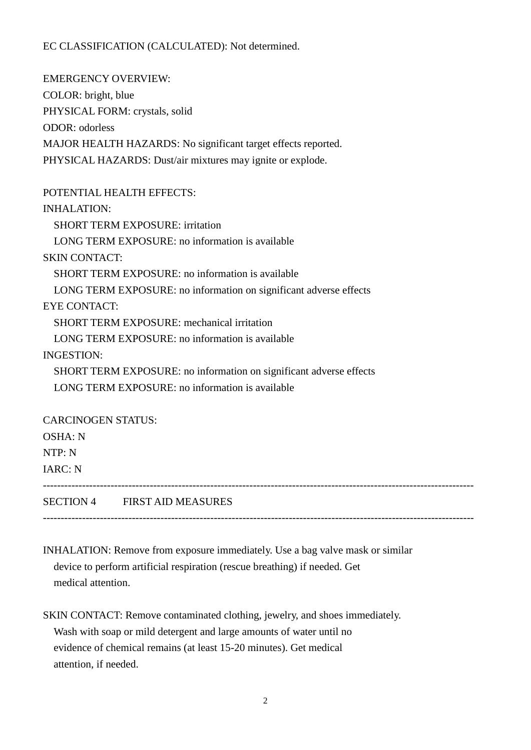## EC CLASSIFICATION (CALCULATED): Not determined.

EMERGENCY OVERVIEW: COLOR: bright, blue PHYSICAL FORM: crystals, solid ODOR: odorless MAJOR HEALTH HAZARDS: No significant target effects reported. PHYSICAL HAZARDS: Dust/air mixtures may ignite or explode.

POTENTIAL HEALTH EFFECTS: INHALATION: SHORT TERM EXPOSURE: irritation LONG TERM EXPOSURE: no information is available SKIN CONTACT: SHORT TERM EXPOSURE: no information is available LONG TERM EXPOSURE: no information on significant adverse effects EYE CONTACT: SHORT TERM EXPOSURE: mechanical irritation LONG TERM EXPOSURE: no information is available INGESTION: SHORT TERM EXPOSURE: no information on significant adverse effects LONG TERM EXPOSURE: no information is available CARCINOGEN STATUS: OSHA: N NTP: N

IARC: N

-------------------------------------------------------------------------------------------------------------------------

SECTION 4 FIRST AID MEASURES

INHALATION: Remove from exposure immediately. Use a bag valve mask or similar device to perform artificial respiration (rescue breathing) if needed. Get medical attention.

-------------------------------------------------------------------------------------------------------------------------

SKIN CONTACT: Remove contaminated clothing, jewelry, and shoes immediately. Wash with soap or mild detergent and large amounts of water until no evidence of chemical remains (at least 15-20 minutes). Get medical attention, if needed.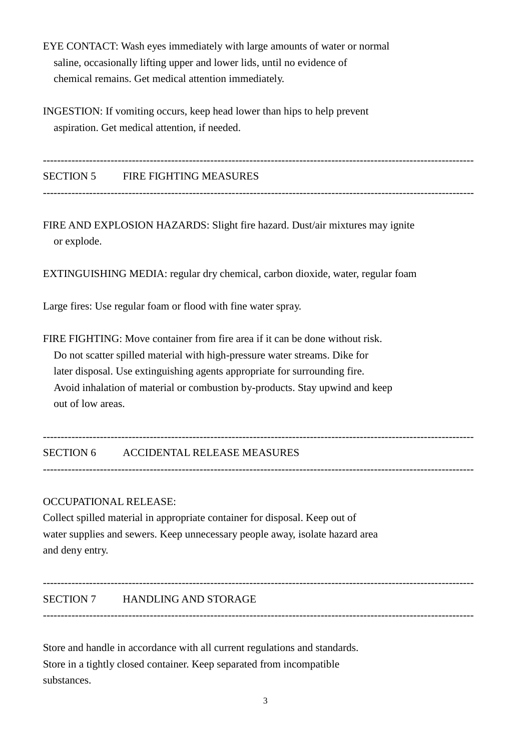- EYE CONTACT: Wash eyes immediately with large amounts of water or normal saline, occasionally lifting upper and lower lids, until no evidence of chemical remains. Get medical attention immediately.
- INGESTION: If vomiting occurs, keep head lower than hips to help prevent aspiration. Get medical attention, if needed.

------------------------------------------------------------------------------------------------------------------------- SECTION 5 FIRE FIGHTING MEASURES -------------------------------------------------------------------------------------------------------------------------

FIRE AND EXPLOSION HAZARDS: Slight fire hazard. Dust/air mixtures may ignite or explode.

EXTINGUISHING MEDIA: regular dry chemical, carbon dioxide, water, regular foam

Large fires: Use regular foam or flood with fine water spray.

FIRE FIGHTING: Move container from fire area if it can be done without risk. Do not scatter spilled material with high-pressure water streams. Dike for later disposal. Use extinguishing agents appropriate for surrounding fire. Avoid inhalation of material or combustion by-products. Stay upwind and keep out of low areas.

-------------------------------------------------------------------------------------------------------------------------

-------------------------------------------------------------------------------------------------------------------------

-------------------------------------------------------------------------------------------------------------------------

SECTION 6 ACCIDENTAL RELEASE MEASURES

#### OCCUPATIONAL RELEASE:

Collect spilled material in appropriate container for disposal. Keep out of water supplies and sewers. Keep unnecessary people away, isolate hazard area and deny entry.

SECTION 7 HANDLING AND STORAGE

Store and handle in accordance with all current regulations and standards. Store in a tightly closed container. Keep separated from incompatible substances.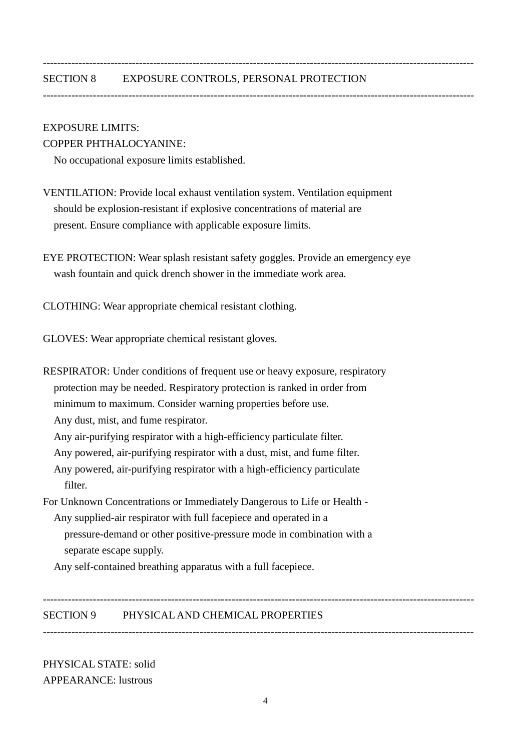#### SECTION 8 EXPOSURE CONTROLS, PERSONAL PROTECTION

-------------------------------------------------------------------------------------------------------------------------

-------------------------------------------------------------------------------------------------------------------------

#### EXPOSURE LIMITS:

#### COPPER PHTHALOCYANINE:

No occupational exposure limits established.

VENTILATION: Provide local exhaust ventilation system. Ventilation equipment should be explosion-resistant if explosive concentrations of material are present. Ensure compliance with applicable exposure limits.

EYE PROTECTION: Wear splash resistant safety goggles. Provide an emergency eye wash fountain and quick drench shower in the immediate work area.

CLOTHING: Wear appropriate chemical resistant clothing.

GLOVES: Wear appropriate chemical resistant gloves.

RESPIRATOR: Under conditions of frequent use or heavy exposure, respiratory protection may be needed. Respiratory protection is ranked in order from minimum to maximum. Consider warning properties before use. Any dust, mist, and fume respirator. Any air-purifying respirator with a high-efficiency particulate filter. Any powered, air-purifying respirator with a dust, mist, and fume filter. Any powered, air-purifying respirator with a high-efficiency particulate filter. For Unknown Concentrations or Immediately Dangerous to Life or Health - Any supplied-air respirator with full facepiece and operated in a pressure-demand or other positive-pressure mode in combination with a separate escape supply.

Any self-contained breathing apparatus with a full facepiece.

SECTION 9 PHYSICAL AND CHEMICAL PROPERTIES

-------------------------------------------------------------------------------------------------------------------------

-------------------------------------------------------------------------------------------------------------------------

PHYSICAL STATE: solid APPEARANCE: lustrous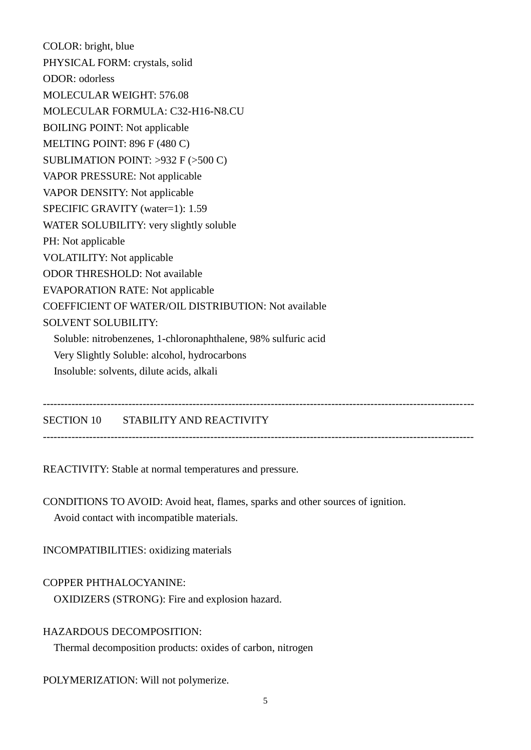COLOR: bright, blue PHYSICAL FORM: crystals, solid ODOR: odorless MOLECULAR WEIGHT: 576.08 MOLECULAR FORMULA: C32-H16-N8.CU BOILING POINT: Not applicable MELTING POINT: 896 F (480 C) SUBLIMATION POINT: >932 F (>500 C) VAPOR PRESSURE: Not applicable VAPOR DENSITY: Not applicable SPECIFIC GRAVITY (water=1): 1.59 WATER SOLUBILITY: very slightly soluble PH: Not applicable VOLATILITY: Not applicable ODOR THRESHOLD: Not available EVAPORATION RATE: Not applicable COEFFICIENT OF WATER/OIL DISTRIBUTION: Not available SOLVENT SOLUBILITY: Soluble: nitrobenzenes, 1-chloronaphthalene, 98% sulfuric acid Very Slightly Soluble: alcohol, hydrocarbons

Insoluble: solvents, dilute acids, alkali

SECTION 10 STABILITY AND REACTIVITY

-------------------------------------------------------------------------------------------------------------------------

-------------------------------------------------------------------------------------------------------------------------

REACTIVITY: Stable at normal temperatures and pressure.

CONDITIONS TO AVOID: Avoid heat, flames, sparks and other sources of ignition. Avoid contact with incompatible materials.

INCOMPATIBILITIES: oxidizing materials

COPPER PHTHALOCYANINE:

OXIDIZERS (STRONG): Fire and explosion hazard.

## HAZARDOUS DECOMPOSITION:

Thermal decomposition products: oxides of carbon, nitrogen

POLYMERIZATION: Will not polymerize.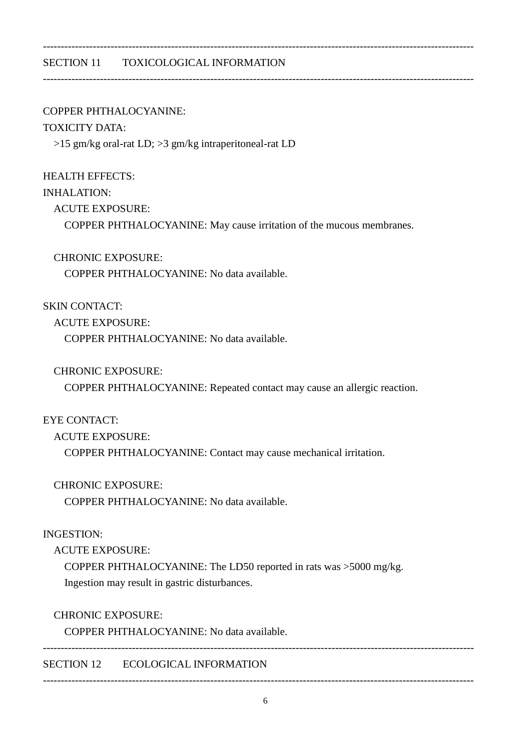## SECTION 11 TOXICOLOGICAL INFORMATION

#### COPPER PHTHALOCYANINE:

#### TOXICITY DATA:

>15 gm/kg oral-rat LD; >3 gm/kg intraperitoneal-rat LD

#### HEALTH EFFECTS:

### INHALATION:

ACUTE EXPOSURE:

COPPER PHTHALOCYANINE: May cause irritation of the mucous membranes.

-------------------------------------------------------------------------------------------------------------------------

-------------------------------------------------------------------------------------------------------------------------

## CHRONIC EXPOSURE:

COPPER PHTHALOCYANINE: No data available.

## SKIN CONTACT:

ACUTE EXPOSURE:

COPPER PHTHALOCYANINE: No data available.

## CHRONIC EXPOSURE:

COPPER PHTHALOCYANINE: Repeated contact may cause an allergic reaction.

## EYE CONTACT:

## ACUTE EXPOSURE:

COPPER PHTHALOCYANINE: Contact may cause mechanical irritation.

## CHRONIC EXPOSURE:

COPPER PHTHALOCYANINE: No data available.

#### INGESTION:

ACUTE EXPOSURE:

 COPPER PHTHALOCYANINE: The LD50 reported in rats was >5000 mg/kg. Ingestion may result in gastric disturbances.

## CHRONIC EXPOSURE:

COPPER PHTHALOCYANINE: No data available.

-------------------------------------------------------------------------------------------------------------------------

SECTION 12 ECOLOGICAL INFORMATION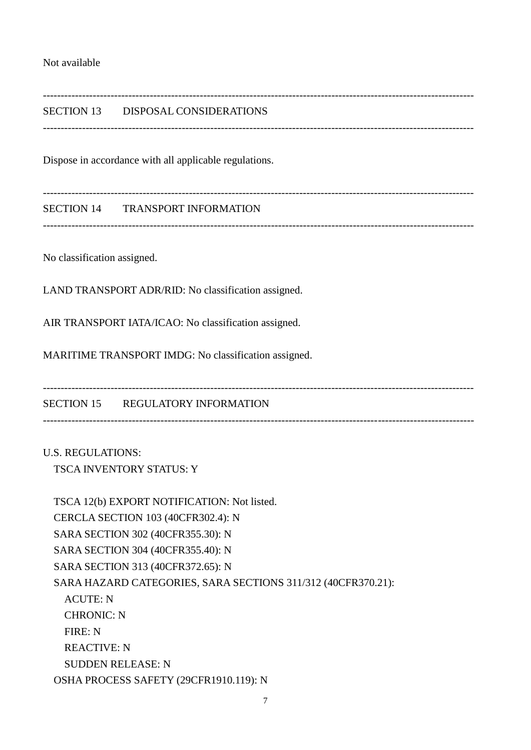#### Not available

## SECTION 13 DISPOSAL CONSIDERATIONS

-------------------------------------------------------------------------------------------------------------------------

-------------------------------------------------------------------------------------------------------------------------

-------------------------------------------------------------------------------------------------------------------------

Dispose in accordance with all applicable regulations.

SECTION 14 TRANSPORT INFORMATION

-------------------------------------------------------------------------------------------------------------------------

No classification assigned.

LAND TRANSPORT ADR/RID: No classification assigned.

AIR TRANSPORT IATA/ICAO: No classification assigned.

MARITIME TRANSPORT IMDG: No classification assigned.

SECTION 15 REGULATORY INFORMATION

-------------------------------------------------------------------------------------------------------------------------

-------------------------------------------------------------------------------------------------------------------------

U.S. REGULATIONS: TSCA INVENTORY STATUS: Y

 TSCA 12(b) EXPORT NOTIFICATION: Not listed. CERCLA SECTION 103 (40CFR302.4): N SARA SECTION 302 (40CFR355.30): N SARA SECTION 304 (40CFR355.40): N SARA SECTION 313 (40CFR372.65): N SARA HAZARD CATEGORIES, SARA SECTIONS 311/312 (40CFR370.21): ACUTE: N CHRONIC: N FIRE: N REACTIVE: N SUDDEN RELEASE: N OSHA PROCESS SAFETY (29CFR1910.119): N